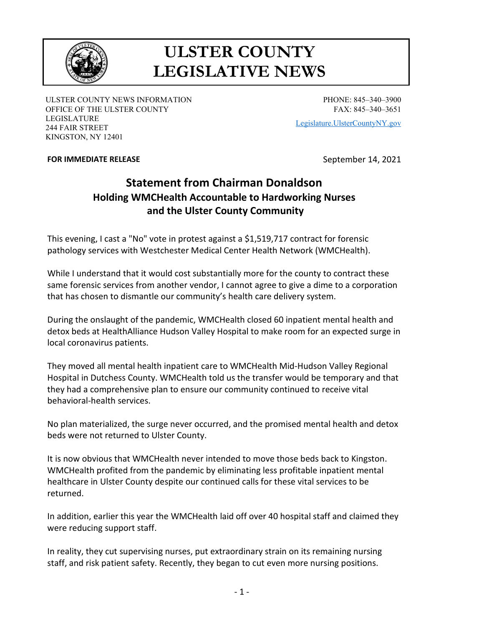

## **ULSTER COUNTY LEGISLATIVE NEWS**

ULSTER COUNTY NEWS INFORMATION OFFICE OF THE ULSTER COUNTY LEGISLATURE 244 FAIR STREET KINGSTON, NY 12401

PHONE: 845–340–3900 FAX: 845–340–3651

[Legislature.UlsterCountyNY.gov](https://legislature.ulstercountyny.gov/)

## **FOR IMMEDIATE RELEASE September 14, 2021**

## **Statement from Chairman Donaldson Holding WMCHealth Accountable to Hardworking Nurses and the Ulster County Community**

This evening, I cast a "No" vote in protest against a \$1,519,717 contract for forensic pathology services with Westchester Medical Center Health Network (WMCHealth).

While I understand that it would cost substantially more for the county to contract these same forensic services from another vendor, I cannot agree to give a dime to a corporation that has chosen to dismantle our community's health care delivery system.

During the onslaught of the pandemic, WMCHealth closed 60 inpatient mental health and detox beds at HealthAlliance Hudson Valley Hospital to make room for an expected surge in local coronavirus patients.

They moved all mental health inpatient care to WMCHealth Mid-Hudson Valley Regional Hospital in Dutchess County. WMCHealth told us the transfer would be temporary and that they had a comprehensive plan to ensure our community continued to receive vital behavioral-health services.

No plan materialized, the surge never occurred, and the promised mental health and detox beds were not returned to Ulster County.

It is now obvious that WMCHealth never intended to move those beds back to Kingston. WMCHealth profited from the pandemic by eliminating less profitable inpatient mental healthcare in Ulster County despite our continued calls for these vital services to be returned.

In addition, earlier this year the WMCHealth laid off over 40 hospital staff and claimed they were reducing support staff.

In reality, they cut supervising nurses, put extraordinary strain on its remaining nursing staff, and risk patient safety. Recently, they began to cut even more nursing positions.